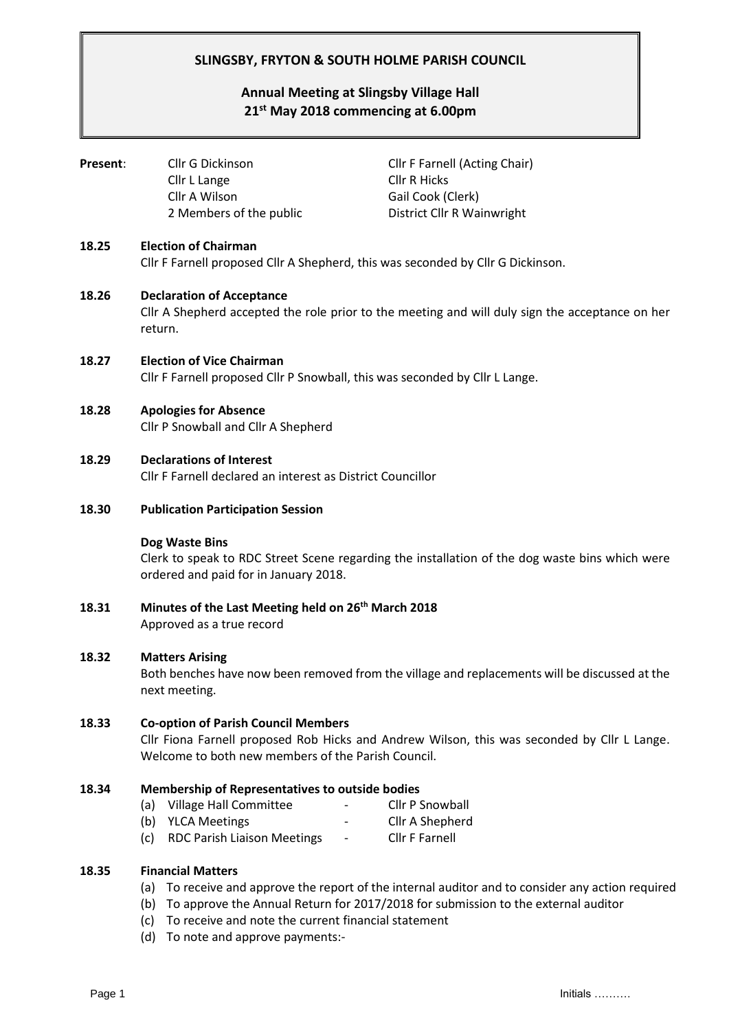# **SLINGSBY, FRYTON & SOUTH HOLME PARISH COUNCIL**

# **Annual Meeting at Slingsby Village Hall 21 st May 2018 commencing at 6.00pm**

| Present: | Cllr G Dickinson<br>Cllr L Lange<br>Cllr A Wilson<br>2 Members of the public                                                                                                                    | <b>Cllr F Farnell (Acting Chair)</b><br><b>Cllr R Hicks</b><br>Gail Cook (Clerk)<br>District Cllr R Wainwright |  |  |  |
|----------|-------------------------------------------------------------------------------------------------------------------------------------------------------------------------------------------------|----------------------------------------------------------------------------------------------------------------|--|--|--|
| 18.25    | <b>Election of Chairman</b><br>Cllr F Farnell proposed Cllr A Shepherd, this was seconded by Cllr G Dickinson.                                                                                  |                                                                                                                |  |  |  |
| 18.26    | <b>Declaration of Acceptance</b><br>Cllr A Shepherd accepted the role prior to the meeting and will duly sign the acceptance on her<br>return.                                                  |                                                                                                                |  |  |  |
| 18.27    | <b>Election of Vice Chairman</b><br>Cllr F Farnell proposed Cllr P Snowball, this was seconded by Cllr L Lange.                                                                                 |                                                                                                                |  |  |  |
| 18.28    | <b>Apologies for Absence</b><br>Cllr P Snowball and Cllr A Shepherd                                                                                                                             |                                                                                                                |  |  |  |
| 18.29    | <b>Declarations of Interest</b><br>Cllr F Farnell declared an interest as District Councillor                                                                                                   |                                                                                                                |  |  |  |
| 18.30    | <b>Publication Participation Session</b>                                                                                                                                                        |                                                                                                                |  |  |  |
|          | Dog Waste Bins<br>Clerk to speak to RDC Street Scene regarding the installation of the dog waste bins which were<br>ordered and paid for in January 2018.                                       |                                                                                                                |  |  |  |
| 18.31    | Minutes of the Last Meeting held on 26 <sup>th</sup> March 2018<br>Approved as a true record                                                                                                    |                                                                                                                |  |  |  |
| 18.32    | <b>Matters Arising</b><br>Both benches have now been removed from the village and replacements will be discussed at the<br>next meeting.                                                        |                                                                                                                |  |  |  |
| 18.33    | <b>Co-option of Parish Council Members</b><br>Cllr Fiona Farnell proposed Rob Hicks and Andrew Wilson, this was seconded by Cllr L Lange.<br>Welcome to both new members of the Parish Council. |                                                                                                                |  |  |  |
| 18.34    | <b>Membership of Representatives to outside bodies</b><br><b>Village Hall Committee</b><br>(a)                                                                                                  | <b>Cllr P Snowball</b>                                                                                         |  |  |  |

- (b) YLCA Meetings The Clin A Shepherd
- (c) RDC Parish Liaison Meetings Cllr F Farnell

### **18.35 Financial Matters**

- (a) To receive and approve the report of the internal auditor and to consider any action required
- (b) To approve the Annual Return for 2017/2018 for submission to the external auditor
- (c) To receive and note the current financial statement
- (d) To note and approve payments:-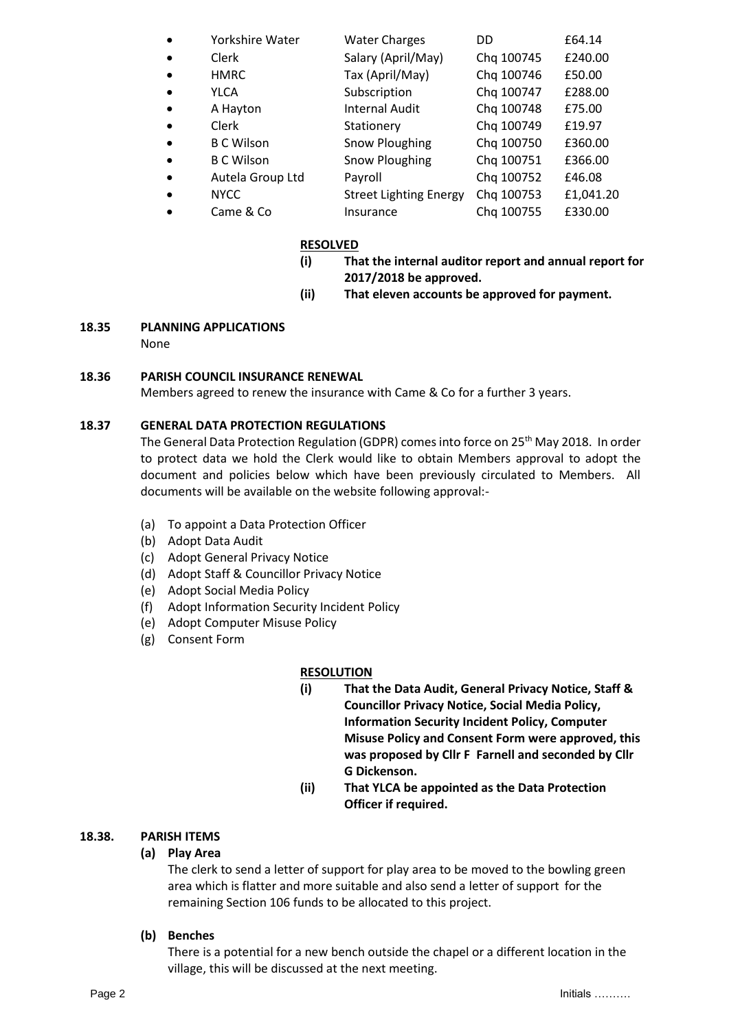| $\bullet$ | Yorkshire Water   | <b>Water Charges</b>          | DD         | £64.14    |
|-----------|-------------------|-------------------------------|------------|-----------|
| $\bullet$ | Clerk             | Salary (April/May)            | Chq 100745 | £240.00   |
| $\bullet$ | <b>HMRC</b>       | Tax (April/May)               | Chq 100746 | £50.00    |
| $\bullet$ | <b>YLCA</b>       | Subscription                  | Chq 100747 | £288.00   |
| $\bullet$ | A Hayton          | <b>Internal Audit</b>         | Chq 100748 | £75.00    |
| $\bullet$ | Clerk             | Stationery                    | Chq 100749 | £19.97    |
| $\bullet$ | <b>B C Wilson</b> | Snow Ploughing                | Chq 100750 | £360.00   |
| $\bullet$ | <b>B C Wilson</b> | Snow Ploughing                | Chq 100751 | £366.00   |
| $\bullet$ | Autela Group Ltd  | Payroll                       | Chq 100752 | £46.08    |
| $\bullet$ | <b>NYCC</b>       | <b>Street Lighting Energy</b> | Chq 100753 | £1,041.20 |
|           | Came & Co         | Insurance                     | Chq 100755 | £330.00   |

#### **RESOLVED**

- **(i) That the internal auditor report and annual report for 2017/2018 be approved.**
- **(ii) That eleven accounts be approved for payment.**

### **18.35 PLANNING APPLICATIONS**

None

### **18.36 PARISH COUNCIL INSURANCE RENEWAL**

Members agreed to renew the insurance with Came & Co for a further 3 years.

### **18.37 GENERAL DATA PROTECTION REGULATIONS**

The General Data Protection Regulation (GDPR) comes into force on 25<sup>th</sup> May 2018. In order to protect data we hold the Clerk would like to obtain Members approval to adopt the document and policies below which have been previously circulated to Members. All documents will be available on the website following approval:-

- (a) To appoint a Data Protection Officer
- (b) Adopt Data Audit
- (c) Adopt General Privacy Notice
- (d) Adopt Staff & Councillor Privacy Notice
- (e) Adopt Social Media Policy
- (f) Adopt Information Security Incident Policy
- (e) Adopt Computer Misuse Policy
- (g) Consent Form

## **RESOLUTION**

- **(i) That the Data Audit, General Privacy Notice, Staff & Councillor Privacy Notice, Social Media Policy, Information Security Incident Policy, Computer Misuse Policy and Consent Form were approved, this was proposed by Cllr F Farnell and seconded by Cllr G Dickenson.**
- **(ii) That YLCA be appointed as the Data Protection Officer if required.**

## **18.38. PARISH ITEMS**

## **(a) Play Area**

The clerk to send a letter of support for play area to be moved to the bowling green area which is flatter and more suitable and also send a letter of support for the remaining Section 106 funds to be allocated to this project.

**(b) Benches**

There is a potential for a new bench outside the chapel or a different location in the village, this will be discussed at the next meeting.